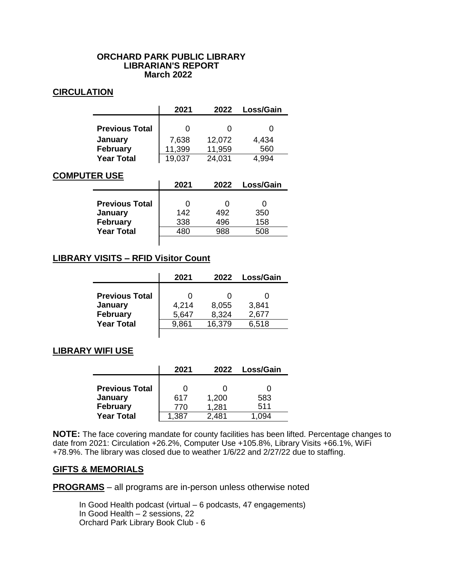### **ORCHARD PARK PUBLIC LIBRARY LIBRARIAN'S REPORT March 2022**

## **CIRCULATION**

|                       | 2021   | 2022   | Loss/Gain |
|-----------------------|--------|--------|-----------|
|                       |        |        |           |
| <b>Previous Total</b> |        |        |           |
| January               | 7,638  | 12,072 | 4,434     |
| <b>February</b>       | 11,399 | 11,959 | 560       |
| <b>Year Total</b>     | 19,037 | 24,031 | 1 994     |

# **COMPUTER USE**

|                                                     | 2021       | 2022       | Loss/Gain  |
|-----------------------------------------------------|------------|------------|------------|
| <b>Previous Total</b><br>January<br><b>February</b> | 142<br>338 | 492<br>496 | 350<br>158 |
| <b>Year Total</b>                                   | 480        | 988        | 508        |

# **LIBRARY VISITS – RFID Visitor Count**

|                                                     | 2021           | 2022           | Loss/Gain      |
|-----------------------------------------------------|----------------|----------------|----------------|
| <b>Previous Total</b><br>January<br><b>February</b> | 4,214<br>5,647 | 8,055<br>8,324 | 3,841<br>2,677 |
| <b>Year Total</b>                                   | 9,861          | 16,379         | 6,518          |

# **LIBRARY WIFI USE**

|                       | 2021  | 2022  | Loss/Gain |
|-----------------------|-------|-------|-----------|
|                       |       |       |           |
| <b>Previous Total</b> |       |       |           |
| January               | 617   | 1,200 | 583       |
| <b>February</b>       | 770   | 1,281 | 511       |
| <b>Year Total</b>     | 1,387 | 2.481 | 1 በ94     |

**NOTE:** The face covering mandate for county facilities has been lifted. Percentage changes to date from 2021: Circulation +26.2%, Computer Use +105.8%, Library Visits +66.1%, WiFi +78.9%. The library was closed due to weather 1/6/22 and 2/27/22 due to staffing.

## **GIFTS & MEMORIALS**

**PROGRAMS** – all programs are in-person unless otherwise noted

In Good Health podcast (virtual – 6 podcasts, 47 engagements) In Good Health – 2 sessions, 22 Orchard Park Library Book Club - 6